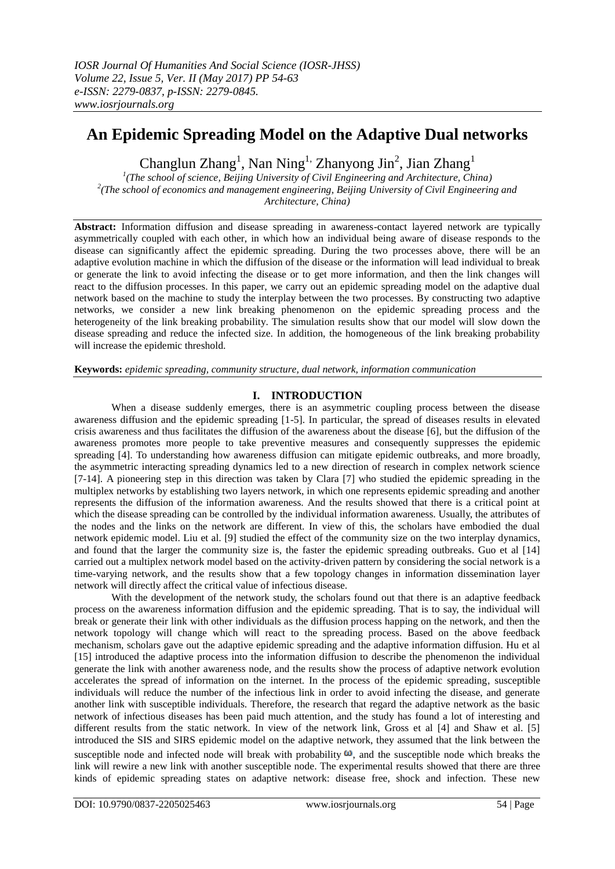# **An Epidemic Spreading Model on the Adaptive Dual networks**

Changlun Zhang<sup>1</sup>, Nan Ning<sup>1,</sup> Zhanyong Jin<sup>2</sup>, Jian Zhang<sup>1</sup>

*1 (The school of science, Beijing University of Civil Engineering and Architecture, China) 2 (The school of economics and management engineering, Beijing University of Civil Engineering and Architecture, China)*

**Abstract:** Information diffusion and disease spreading in awareness-contact layered network are typically asymmetrically coupled with each other, in which how an individual being aware of disease responds to the disease can significantly affect the epidemic spreading. During the two processes above, there will be an adaptive evolution machine in which the diffusion of the disease or the information will lead individual to break or generate the link to avoid infecting the disease or to get more information, and then the link changes will react to the diffusion processes. In this paper, we carry out an epidemic spreading model on the adaptive dual network based on the machine to study the interplay between the two processes. By constructing two adaptive networks, we consider a new link breaking phenomenon on the epidemic spreading process and the heterogeneity of the link breaking probability. The simulation results show that our model will slow down the disease spreading and reduce the infected size. In addition, the homogeneous of the link breaking probability will increase the epidemic threshold.

**Keywords:** *epidemic spreading, community structure, dual network, information communication*

# **I. INTRODUCTION**

When a disease suddenly emerges, there is an asymmetric coupling process between the disease awareness diffusion and the epidemic spreading [1-5]. In particular, the spread of diseases results in elevated crisis awareness and thus facilitates the diffusion of the awareness about the disease [6], but the diffusion of the awareness promotes more people to take preventive measures and consequently suppresses the epidemic spreading [4]. To understanding how awareness diffusion can mitigate epidemic outbreaks, and more broadly, the asymmetric interacting spreading dynamics led to a new direction of research in complex network science [7-14]. A pioneering step in this direction was taken by Clara [7] who studied the epidemic spreading in the multiplex networks by establishing two layers network, in which one represents epidemic spreading and another represents the diffusion of the information awareness. And the results showed that there is a critical point at which the disease spreading can be controlled by the individual information awareness. Usually, the attributes of the nodes and the links on the network are different. In view of this, the scholars have embodied the dual network epidemic model. Liu et al. [9] studied the effect of the community size on the two interplay dynamics, and found that the larger the community size is, the faster the epidemic spreading outbreaks. Guo et al [14] carried out a multiplex network model based on the activity-driven pattern by considering the social network is a time-varying network, and the results show that a few topology changes in information dissemination layer network will directly affect the critical value of infectious disease.

With the development of the network study, the scholars found out that there is an adaptive feedback process on the awareness information diffusion and the epidemic spreading. That is to say, the individual will break or generate their link with other individuals as the diffusion process happing on the network, and then the network topology will change which will react to the spreading process. Based on the above feedback mechanism, scholars gave out the adaptive epidemic spreading and the adaptive information diffusion. Hu et al [15] introduced the adaptive process into the information diffusion to describe the phenomenon the individual generate the link with another awareness node, and the results show the process of adaptive network evolution accelerates the spread of information on the internet. In the process of the epidemic spreading, susceptible individuals will reduce the number of the infectious link in order to avoid infecting the disease, and generate another link with susceptible individuals. Therefore, the research that regard the adaptive network as the basic network of infectious diseases has been paid much attention, and the study has found a lot of interesting and different results from the static network. In view of the network link, Gross et al [4] and Shaw et al. [5] introduced the SIS and SIRS epidemic model on the adaptive network, they assumed that the link between the susceptible node and infected node will break with probability  $\omega$ , and the susceptible node which breaks the link will rewire a new link with another susceptible node. The experimental results showed that there are three kinds of epidemic spreading states on adaptive network: disease free, shock and infection. These new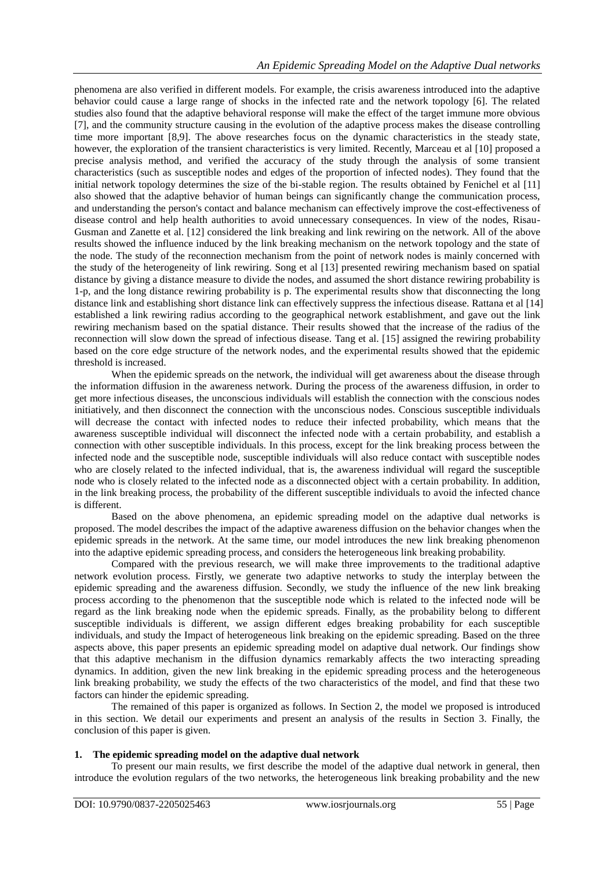phenomena are also verified in different models. For example, the crisis awareness introduced into the adaptive behavior could cause a large range of shocks in the infected rate and the network topology [6]. The related studies also found that the adaptive behavioral response will make the effect of the target immune more obvious [7], and the community structure causing in the evolution of the adaptive process makes the disease controlling time more important [8,9]. The above researches focus on the dynamic characteristics in the steady state, however, the exploration of the transient characteristics is very limited. Recently, Marceau et al [10] proposed a precise analysis method, and verified the accuracy of the study through the analysis of some transient characteristics (such as susceptible nodes and edges of the proportion of infected nodes). They found that the initial network topology determines the size of the bi-stable region. The results obtained by Fenichel et al [11] also showed that the adaptive behavior of human beings can significantly change the communication process, and understanding the person's contact and balance mechanism can effectively improve the cost-effectiveness of disease control and help health authorities to avoid unnecessary consequences. In view of the nodes, Risau-Gusman and Zanette et al. [12] considered the link breaking and link rewiring on the network. All of the above results showed the influence induced by the link breaking mechanism on the network topology and the state of the node. The study of the reconnection mechanism from the point of network nodes is mainly concerned with the study of the heterogeneity of link rewiring. Song et al [13] presented rewiring mechanism based on spatial distance by giving a distance measure to divide the nodes, and assumed the short distance rewiring probability is 1-p, and the long distance rewiring probability is p. The experimental results show that disconnecting the long distance link and establishing short distance link can effectively suppress the infectious disease. Rattana et al [14] established a link rewiring radius according to the geographical network establishment, and gave out the link rewiring mechanism based on the spatial distance. Their results showed that the increase of the radius of the reconnection will slow down the spread of infectious disease. Tang et al. [15] assigned the rewiring probability based on the core edge structure of the network nodes, and the experimental results showed that the epidemic threshold is increased.

When the epidemic spreads on the network, the individual will get awareness about the disease through the information diffusion in the awareness network. During the process of the awareness diffusion, in order to get more infectious diseases, the unconscious individuals will establish the connection with the conscious nodes initiatively, and then disconnect the connection with the unconscious nodes. Conscious susceptible individuals will decrease the contact with infected nodes to reduce their infected probability, which means that the awareness susceptible individual will disconnect the infected node with a certain probability, and establish a connection with other susceptible individuals. In this process, except for the link breaking process between the infected node and the susceptible node, susceptible individuals will also reduce contact with susceptible nodes who are closely related to the infected individual, that is, the awareness individual will regard the susceptible node who is closely related to the infected node as a disconnected object with a certain probability. In addition, in the link breaking process, the probability of the different susceptible individuals to avoid the infected chance is different.

Based on the above phenomena, an epidemic spreading model on the adaptive dual networks is proposed. The model describes the impact of the adaptive awareness diffusion on the behavior changes when the epidemic spreads in the network. At the same time, our model introduces the new link breaking phenomenon into the adaptive epidemic spreading process, and considers the heterogeneous link breaking probability.

Compared with the previous research, we will make three improvements to the traditional adaptive network evolution process. Firstly, we generate two adaptive networks to study the interplay between the epidemic spreading and the awareness diffusion. Secondly, we study the influence of the new link breaking process according to the phenomenon that the susceptible node which is related to the infected node will be regard as the link breaking node when the epidemic spreads. Finally, as the probability belong to different susceptible individuals is different, we assign different edges breaking probability for each susceptible individuals, and study the Impact of heterogeneous link breaking on the epidemic spreading. Based on the three aspects above, this paper presents an epidemic spreading model on adaptive dual network. Our findings show that this adaptive mechanism in the diffusion dynamics remarkably affects the two interacting spreading dynamics. In addition, given the new link breaking in the epidemic spreading process and the heterogeneous link breaking probability, we study the effects of the two characteristics of the model, and find that these two factors can hinder the epidemic spreading.

The remained of this paper is organized as follows. In Section 2, the model we proposed is introduced in this section. We detail our experiments and present an analysis of the results in Section 3. Finally, the conclusion of this paper is given.

# **1. The epidemic spreading model on the adaptive dual network**

To present our main results, we first describe the model of the adaptive dual network in general, then introduce the evolution regulars of the two networks, the heterogeneous link breaking probability and the new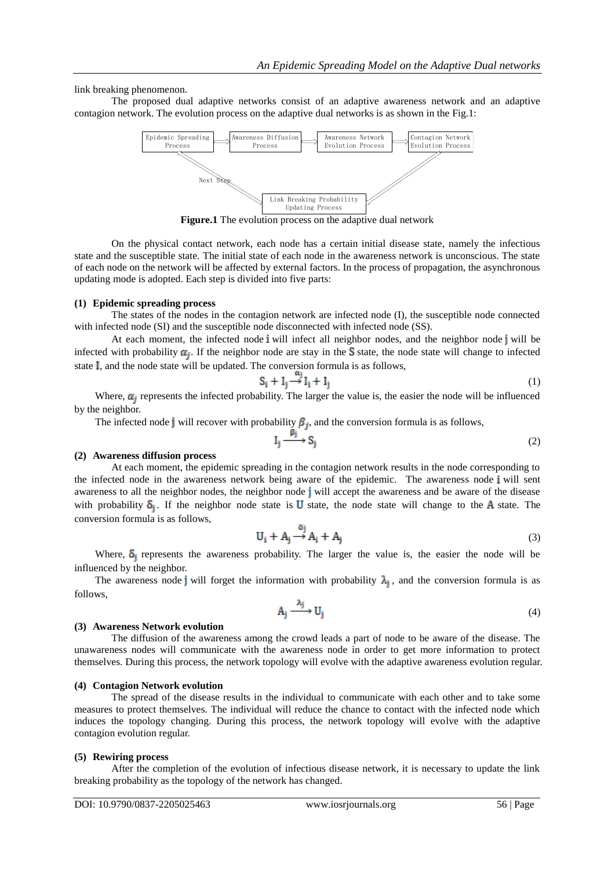link breaking phenomenon.

The proposed dual adaptive networks consist of an adaptive awareness network and an adaptive contagion network. The evolution process on the adaptive dual networks is as shown in the Fig.1:



**Figure.1** The evolution process on the adaptive dual network

On the physical contact network, each node has a certain initial disease state, namely the infectious state and the susceptible state. The initial state of each node in the awareness network is unconscious. The state of each node on the network will be affected by external factors. In the process of propagation, the asynchronous updating mode is adopted. Each step is divided into five parts:

## **(1) Epidemic spreading process**

The states of the nodes in the contagion network are infected node (I), the susceptible node connected with infected node (SI) and the susceptible node disconnected with infected node (SS).

At each moment, the infected node i will infect all neighbor nodes, and the neighbor node j will be infected with probability  $\alpha_i$ . If the neighbor node are stay in the S state, the node state will change to infected state  $\overline{I}$ , and the node state will be updated. The conversion formula is as follows,

$$
S_i + I_j \stackrel{\alpha_j}{\longrightarrow} I_i + I_j \tag{1}
$$

Where,  $\alpha_i$  represents the infected probability. The larger the value is, the easier the node will be influenced by the neighbor.

The infected node j will recover with probability  $\beta_i$ , and the conversion formula is as follows,

$$
I_j \xrightarrow{\beta_j} S_j \tag{2}
$$

## **(2) Awareness diffusion process**

At each moment, the epidemic spreading in the contagion network results in the node corresponding to the infected node in the awareness network being aware of the epidemic. The awareness node i will sent awareness to all the neighbor nodes, the neighbor node  $\mathbf{j}$  will accept the awareness and be aware of the disease with probability  $\delta_i$ . If the neighbor node state is **U** state, the node state will change to the **A** state. The conversion formula is as follows,

$$
U_i + A_j \stackrel{\delta_j}{\to} A_i + A_j \tag{3}
$$

Where,  $\delta_i$  represents the awareness probability. The larger the value is, the easier the node will be influenced by the neighbor.

The awareness node j will forget the information with probability  $\lambda_i$ , and the conversion formula is as follows,

$$
A_j \xrightarrow{\lambda_j} U_j \tag{4}
$$

#### **(3) Awareness Network evolution**

The diffusion of the awareness among the crowd leads a part of node to be aware of the disease. The unawareness nodes will communicate with the awareness node in order to get more information to protect themselves. During this process, the network topology will evolve with the adaptive awareness evolution regular.

#### **(4) Contagion Network evolution**

The spread of the disease results in the individual to communicate with each other and to take some measures to protect themselves. The individual will reduce the chance to contact with the infected node which induces the topology changing. During this process, the network topology will evolve with the adaptive contagion evolution regular.

#### **(5) Rewiring process**

After the completion of the evolution of infectious disease network, it is necessary to update the link breaking probability as the topology of the network has changed.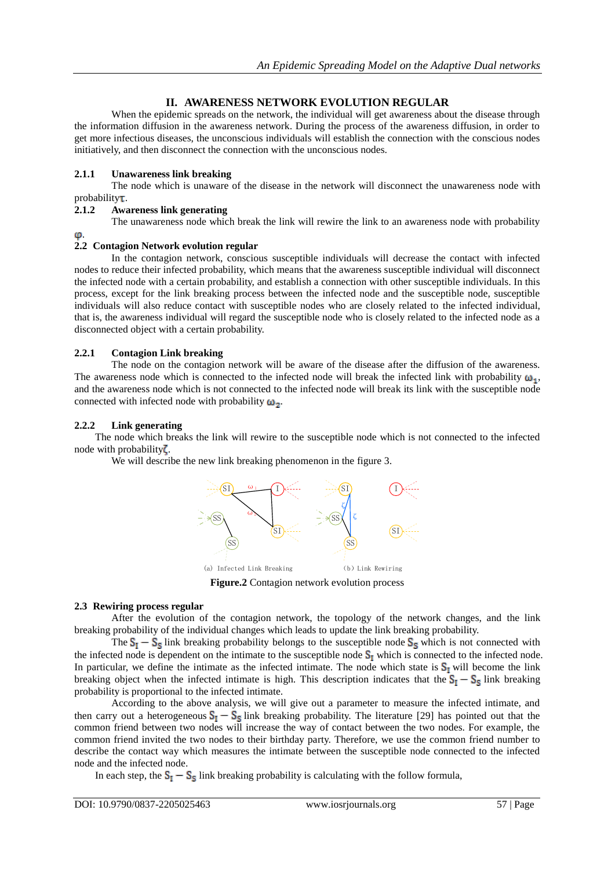# **II. AWARENESS NETWORK EVOLUTION REGULAR**

When the epidemic spreads on the network, the individual will get awareness about the disease through the information diffusion in the awareness network. During the process of the awareness diffusion, in order to get more infectious diseases, the unconscious individuals will establish the connection with the conscious nodes initiatively, and then disconnect the connection with the unconscious nodes.

## **2.1.1 Unawareness link breaking**

The node which is unaware of the disease in the network will disconnect the unawareness node with  $probability$ 

## **2.1.2 Awareness link generating**

The unawareness node which break the link will rewire the link to an awareness node with probability

#### .

# **2.2 Contagion Network evolution regular**

In the contagion network, conscious susceptible individuals will decrease the contact with infected nodes to reduce their infected probability, which means that the awareness susceptible individual will disconnect the infected node with a certain probability, and establish a connection with other susceptible individuals. In this process, except for the link breaking process between the infected node and the susceptible node, susceptible individuals will also reduce contact with susceptible nodes who are closely related to the infected individual, that is, the awareness individual will regard the susceptible node who is closely related to the infected node as a disconnected object with a certain probability.

## **2.2.1 Contagion Link breaking**

The node on the contagion network will be aware of the disease after the diffusion of the awareness. The awareness node which is connected to the infected node will break the infected link with probability  $\omega_1$ , and the awareness node which is not connected to the infected node will break its link with the susceptible node connected with infected node with probability  $\omega_2$ .

## **2.2.2 Link generating**

The node which breaks the link will rewire to the susceptible node which is not connected to the infected node with probability $\zeta$ .

We will describe the new link breaking phenomenon in the figure 3.



**Figure.2** Contagion network evolution process

## **2.3 Rewiring process regular**

After the evolution of the contagion network, the topology of the network changes, and the link breaking probability of the individual changes which leads to update the link breaking probability.

The  $S_I - S_S$  link breaking probability belongs to the susceptible node  $S_S$  which is not connected with the infected node is dependent on the intimate to the susceptible node  $S_I$  which is connected to the infected node. In particular, we define the intimate as the infected intimate. The node which state is  $S_I$  will become the link breaking object when the infected intimate is high. This description indicates that the  $S_1 - S_5$  link breaking probability is proportional to the infected intimate.

According to the above analysis, we will give out a parameter to measure the infected intimate, and then carry out a heterogeneous  $S_I - S_S$  link breaking probability. The literature [29] has pointed out that the common friend between two nodes will increase the way of contact between the two nodes. For example, the common friend invited the two nodes to their birthday party. Therefore, we use the common friend number to describe the contact way which measures the intimate between the susceptible node connected to the infected node and the infected node.

In each step, the  $S_1 - S_5$  link breaking probability is calculating with the follow formula,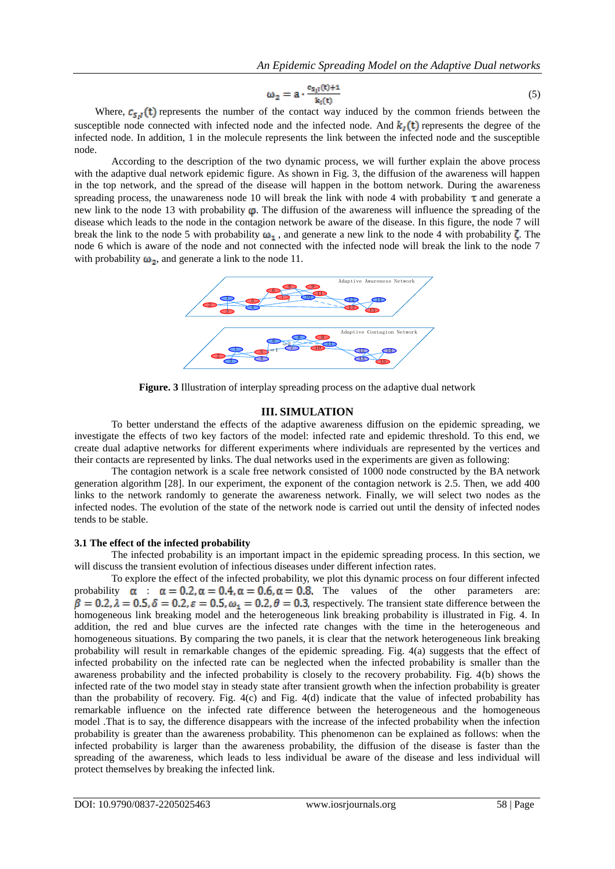$$
\omega_2 = a \cdot \frac{c_{\mathsf{S}_1 l}(t) + 1}{k_l(t)} \tag{5}
$$

Where,  $c_{s,t}(t)$  represents the number of the contact way induced by the common friends between the susceptible node connected with infected node and the infected node. And  $k_i(t)$  represents the degree of the infected node. In addition, 1 in the molecule represents the link between the infected node and the susceptible node.

According to the description of the two dynamic process, we will further explain the above process with the adaptive dual network epidemic figure. As shown in Fig. 3, the diffusion of the awareness will happen in the top network, and the spread of the disease will happen in the bottom network. During the awareness spreading process, the unawareness node 10 will break the link with node 4 with probability  $\tau$  and generate a new link to the node 13 with probability  $\varphi$ . The diffusion of the awareness will influence the spreading of the disease which leads to the node in the contagion network be aware of the disease. In this figure, the node 7 will break the link to the node 5 with probability  $\omega_1$ , and generate a new link to the node 4 with probability  $\zeta$ . The node 6 which is aware of the node and not connected with the infected node will break the link to the node 7 with probability  $\omega_2$ , and generate a link to the node 11.



**Figure. 3** Illustration of interplay spreading process on the adaptive dual network

#### **III. SIMULATION**

To better understand the effects of the adaptive awareness diffusion on the epidemic spreading, we investigate the effects of two key factors of the model: infected rate and epidemic threshold. To this end, we create dual adaptive networks for different experiments where individuals are represented by the vertices and their contacts are represented by links. The dual networks used in the experiments are given as following:

The contagion network is a scale free network consisted of 1000 node constructed by the BA network generation algorithm [28]. In our experiment, the exponent of the contagion network is 2.5. Then, we add 400 links to the network randomly to generate the awareness network. Finally, we will select two nodes as the infected nodes. The evolution of the state of the network node is carried out until the density of infected nodes tends to be stable.

#### **3.1 The effect of the infected probability**

The infected probability is an important impact in the epidemic spreading process. In this section, we will discuss the transient evolution of infectious diseases under different infection rates.

To explore the effect of the infected probability, we plot this dynamic process on four different infected probability  $\alpha$  :  $\alpha = 0.2$ ,  $\alpha = 0.4$ ,  $\alpha = 0.6$ ,  $\alpha = 0.8$ . The values of the other parameters are:  $\beta = 0.2$ ,  $\lambda = 0.5$ ,  $\delta = 0.2$ ,  $\varepsilon = 0.5$ ,  $\omega_1 = 0.2$ ,  $\theta = 0.3$ , respectively. The transient state difference between the homogeneous link breaking model and the heterogeneous link breaking probability is illustrated in Fig. 4. In addition, the red and blue curves are the infected rate changes with the time in the heterogeneous and homogeneous situations. By comparing the two panels, it is clear that the network heterogeneous link breaking probability will result in remarkable changes of the epidemic spreading. Fig. 4(a) suggests that the effect of infected probability on the infected rate can be neglected when the infected probability is smaller than the awareness probability and the infected probability is closely to the recovery probability. Fig. 4(b) shows the infected rate of the two model stay in steady state after transient growth when the infection probability is greater than the probability of recovery. Fig. 4(c) and Fig. 4(d) indicate that the value of infected probability has remarkable influence on the infected rate difference between the heterogeneous and the homogeneous model .That is to say, the difference disappears with the increase of the infected probability when the infection probability is greater than the awareness probability. This phenomenon can be explained as follows: when the infected probability is larger than the awareness probability, the diffusion of the disease is faster than the spreading of the awareness, which leads to less individual be aware of the disease and less individual will protect themselves by breaking the infected link.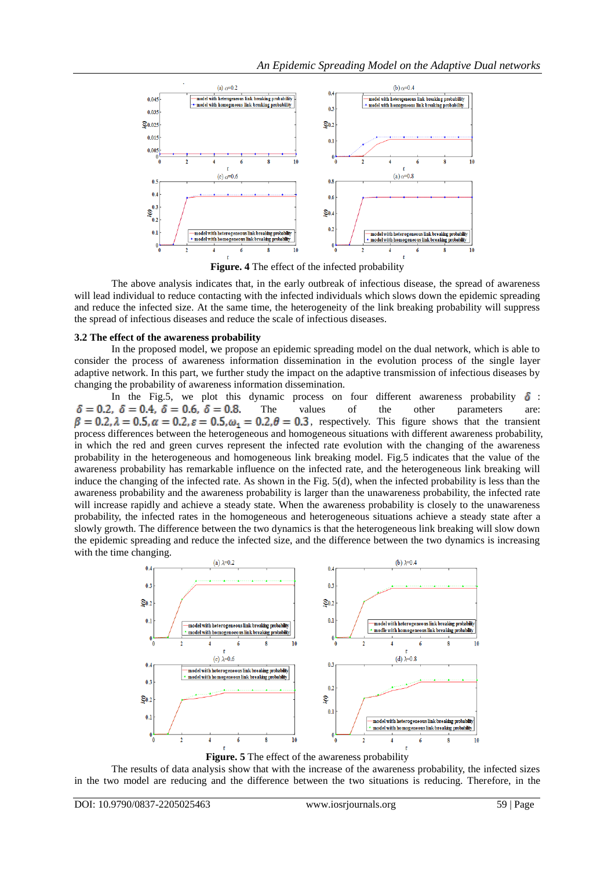

**Figure. 4** The effect of the infected probability

The above analysis indicates that, in the early outbreak of infectious disease, the spread of awareness will lead individual to reduce contacting with the infected individuals which slows down the epidemic spreading and reduce the infected size. At the same time, the heterogeneity of the link breaking probability will suppress the spread of infectious diseases and reduce the scale of infectious diseases.

## **3.2 The effect of the awareness probability**

In the proposed model, we propose an epidemic spreading model on the dual network, which is able to consider the process of awareness information dissemination in the evolution process of the single layer adaptive network. In this part, we further study the impact on the adaptive transmission of infectious diseases by changing the probability of awareness information dissemination.

In the Fig.5, we plot this dynamic process on four different awareness probability  $\delta$ :  $\delta = 0.2$ ,  $\delta = 0.4$ ,  $\delta = 0.6$ ,  $\delta = 0.8$ . The values of the other parameters are:  $\beta = 0.2$ ,  $\lambda = 0.5$ ,  $\alpha = 0.2$ ,  $\varepsilon = 0.5$ ,  $\omega_1 = 0.2$ ,  $\theta = 0.3$ , respectively. This figure shows that the transient process differences between the heterogeneous and homogeneous situations with different awareness probability, in which the red and green curves represent the infected rate evolution with the changing of the awareness probability in the heterogeneous and homogeneous link breaking model. Fig.5 indicates that the value of the awareness probability has remarkable influence on the infected rate, and the heterogeneous link breaking will induce the changing of the infected rate. As shown in the Fig. 5(d), when the infected probability is less than the awareness probability and the awareness probability is larger than the unawareness probability, the infected rate will increase rapidly and achieve a steady state. When the awareness probability is closely to the unawareness probability, the infected rates in the homogeneous and heterogeneous situations achieve a steady state after a slowly growth. The difference between the two dynamics is that the heterogeneous link breaking will slow down the epidemic spreading and reduce the infected size, and the difference between the two dynamics is increasing with the time changing.



**Figure. 5** The effect of the awareness probability

The results of data analysis show that with the increase of the awareness probability, the infected sizes in the two model are reducing and the difference between the two situations is reducing. Therefore, in the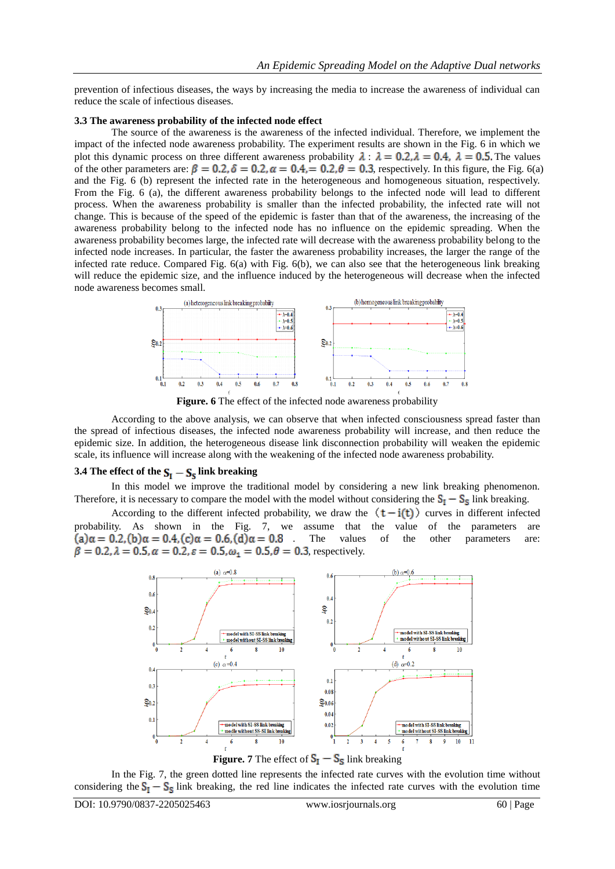prevention of infectious diseases, the ways by increasing the media to increase the awareness of individual can reduce the scale of infectious diseases.

#### **3.3 The awareness probability of the infected node effect**

The source of the awareness is the awareness of the infected individual. Therefore, we implement the impact of the infected node awareness probability. The experiment results are shown in the Fig. 6 in which we plot this dynamic process on three different awareness probability  $\lambda$ :  $\lambda = 0.2$ ,  $\lambda = 0.4$ ,  $\lambda = 0.5$ . The values of the other parameters are:  $\beta = 0.2$ ,  $\delta = 0.2$ ,  $\alpha = 0.4$ , = 0.2,  $\theta = 0.3$ , respectively. In this figure, the Fig. 6(a) and the Fig. 6 (b) represent the infected rate in the heterogeneous and homogeneous situation, respectively. From the Fig. 6 (a), the different awareness probability belongs to the infected node will lead to different process. When the awareness probability is smaller than the infected probability, the infected rate will not change. This is because of the speed of the epidemic is faster than that of the awareness, the increasing of the awareness probability belong to the infected node has no influence on the epidemic spreading. When the awareness probability becomes large, the infected rate will decrease with the awareness probability belong to the infected node increases. In particular, the faster the awareness probability increases, the larger the range of the infected rate reduce. Compared Fig. 6(a) with Fig. 6(b), we can also see that the heterogeneous link breaking will reduce the epidemic size, and the influence induced by the heterogeneous will decrease when the infected node awareness becomes small.



**Figure. 6** The effect of the infected node awareness probability

According to the above analysis, we can observe that when infected consciousness spread faster than the spread of infectious diseases, the infected node awareness probability will increase, and then reduce the epidemic size. In addition, the heterogeneous disease link disconnection probability will weaken the epidemic scale, its influence will increase along with the weakening of the infected node awareness probability.

#### **3.4 The effect of the**  $S_I - S_S$  **link breaking**

In this model we improve the traditional model by considering a new link breaking phenomenon. Therefore, it is necessary to compare the model with the model without considering the  $S_1 - S_5$  link breaking.

According to the different infected probability, we draw the  $(t-i(t))$  curves in different infected probability. As shown in the Fig. 7, we assume that the value of the parameters are  $(a)\alpha = 0.2$ ,  $(b)\alpha = 0.4$ ,  $(c)\alpha = 0.6$ ,  $(d)\alpha = 0.8$ . The values of the other parameters are: values of the other parameters are:  $\beta = 0.2$ ,  $\lambda = 0.5$ ,  $\alpha = 0.2$ ,  $\varepsilon = 0.5$ ,  $\omega_1 = 0.5$ ,  $\theta = 0.3$ , respectively.



In the Fig. 7, the green dotted line represents the infected rate curves with the evolution time without considering the  $S_I - S_S$  link breaking, the red line indicates the infected rate curves with the evolution time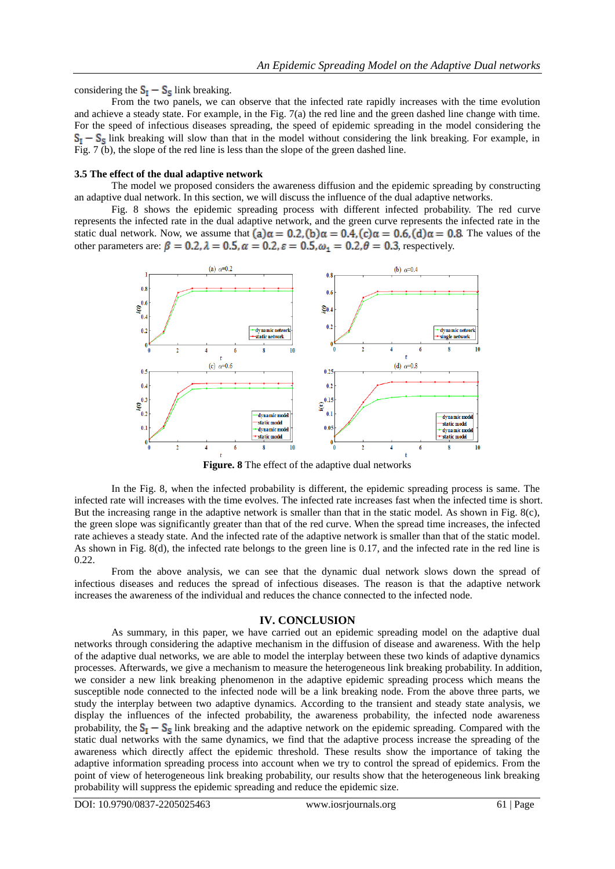considering the  $S_I - S_S$  link breaking.

From the two panels, we can observe that the infected rate rapidly increases with the time evolution and achieve a steady state. For example, in the Fig. 7(a) the red line and the green dashed line change with time. For the speed of infectious diseases spreading, the speed of epidemic spreading in the model considering the  $S_1 - S_5$  link breaking will slow than that in the model without considering the link breaking. For example, in Fig. 7 (b), the slope of the red line is less than the slope of the green dashed line.

#### **3.5 The effect of the dual adaptive network**

The model we proposed considers the awareness diffusion and the epidemic spreading by constructing an adaptive dual network. In this section, we will discuss the influence of the dual adaptive networks.

Fig. 8 shows the epidemic spreading process with different infected probability. The red curve represents the infected rate in the dual adaptive network, and the green curve represents the infected rate in the static dual network. Now, we assume that  $(a)\alpha = 0.2$ ,  $(b)\alpha = 0.4$ ,  $(c)\alpha = 0.6$ ,  $(d)\alpha = 0.8$ . The values of the other parameters are:  $\beta = 0.2$ ,  $\lambda = 0.5$ ,  $\alpha = 0.2$ ,  $\varepsilon = 0.5$ ,  $\omega_1 = 0.2$ ,  $\theta = 0.3$ , respectively.



**Figure. 8** The effect of the adaptive dual networks

In the Fig. 8, when the infected probability is different, the epidemic spreading process is same. The infected rate will increases with the time evolves. The infected rate increases fast when the infected time is short. But the increasing range in the adaptive network is smaller than that in the static model. As shown in Fig. 8(c), the green slope was significantly greater than that of the red curve. When the spread time increases, the infected rate achieves a steady state. And the infected rate of the adaptive network is smaller than that of the static model. As shown in Fig. 8(d), the infected rate belongs to the green line is 0.17, and the infected rate in the red line is 0.22.

From the above analysis, we can see that the dynamic dual network slows down the spread of infectious diseases and reduces the spread of infectious diseases. The reason is that the adaptive network increases the awareness of the individual and reduces the chance connected to the infected node.

#### **IV. CONCLUSION**

As summary, in this paper, we have carried out an epidemic spreading model on the adaptive dual networks through considering the adaptive mechanism in the diffusion of disease and awareness. With the help of the adaptive dual networks, we are able to model the interplay between these two kinds of adaptive dynamics processes. Afterwards, we give a mechanism to measure the heterogeneous link breaking probability. In addition, we consider a new link breaking phenomenon in the adaptive epidemic spreading process which means the susceptible node connected to the infected node will be a link breaking node. From the above three parts, we study the interplay between two adaptive dynamics. According to the transient and steady state analysis, we display the influences of the infected probability, the awareness probability, the infected node awareness probability, the  $S_I - S_S$  link breaking and the adaptive network on the epidemic spreading. Compared with the static dual networks with the same dynamics, we find that the adaptive process increase the spreading of the awareness which directly affect the epidemic threshold. These results show the importance of taking the adaptive information spreading process into account when we try to control the spread of epidemics. From the point of view of heterogeneous link breaking probability, our results show that the heterogeneous link breaking probability will suppress the epidemic spreading and reduce the epidemic size.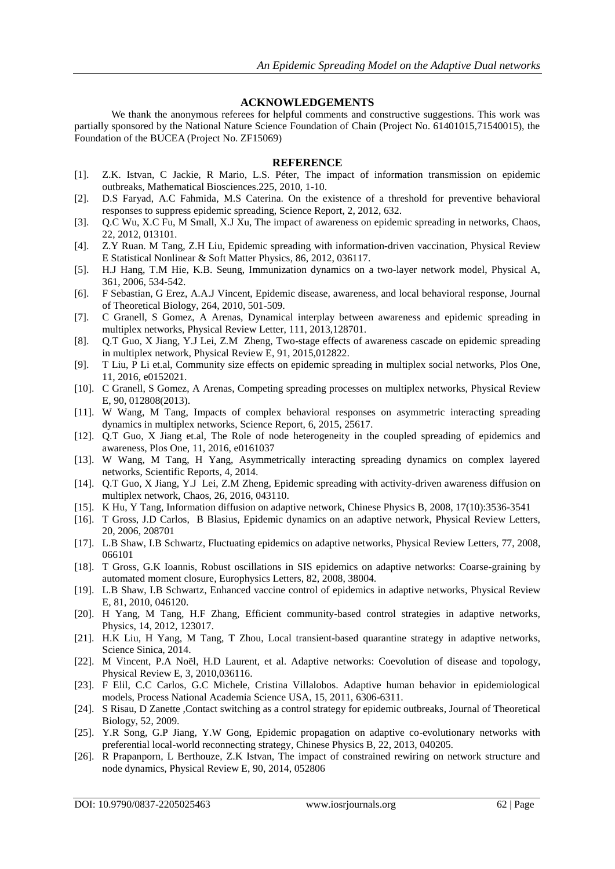# **ACKNOWLEDGEMENTS**

We thank the anonymous referees for helpful comments and constructive suggestions. This work was partially sponsored by the National Nature Science Foundation of Chain (Project No. 61401015,71540015), the Foundation of the BUCEA (Project No. ZF15069)

## **REFERENCE**

- [1]. Z.K. [Istvan,](https://www.researchgate.net/profile/Istvan_Kiss5) C [Jackie,](https://www.researchgate.net/profile/Jackie_Cassell) R [Mario,](https://www.researchgate.net/researcher/38950243_Mario_Recker) L.S. [Péter,](https://www.researchgate.net/profile/Peter_Simon4) The impact of information transmission on epidemic outbreaks, Mathematical Biosciences.225, 2010, 1-10.
- [2]. D.S Faryad, A.C Fahmida, M.S Caterina. On the existence of a threshold for preventive behavioral responses to suppress epidemic spreading, Science Report, 2, 2012, 632.
- [3]. [Q.C Wu,](https://www.researchgate.net/profile/Qingchu_Wu) [X.C](https://www.researchgate.net/researcher/39381389_Xinchu_Fu) Fu, [M Small,](https://www.researchgate.net/profile/Michael_Small2) [X.J](https://www.researchgate.net/profile/Xin-Jian_Xu) Xu, The impact of awareness on epidemic spreading in networks, Chaos, 22, 2012, 013101.
- [4]. Z.Y [Ruan.](https://www.researchgate.net/researcher/2001033694_Zhongyuan_Ruan) M [Tang,](https://www.researchgate.net/profile/Ming_Tang21) [Z.H](https://www.researchgate.net/profile/Zonghua_Liu) Liu, Epidemic spreading with information-driven vaccination, Physical Review E Statistical Nonlinear & Soft Matter Physics, 86, 2012, 036117.
- [5]. H.J [Hang,](https://www.researchgate.net/profile/Hang-Hyun_Jo) T.M [Hie,](https://www.researchgate.net/researcher/10911523_Hie-Tae_Moon) K.B. [Seung,](https://www.researchgate.net/profile/Seung_Ki_Baek) Immunization dynamics on a two-layer network model, Physical A, 361, 2006, 534-542.
- [6]. F [Sebastian,](https://www.researchgate.net/profile/Sebastian_Funk2) G [Erez,](https://www.researchgate.net/profile/Erez_Gilad) A.A.J [Vincent,](https://www.researchgate.net/profile/Vincent_Jansen) Epidemic disease, awareness, and local behavioral response, Journal of Theoretical Biology, 264, 2010, 501-509.
- [7]. C Granell, S Gomez, A Arenas, Dynamical interplay between awareness and epidemic spreading in multiplex networks, Physical Review Letter, 111, 2013,128701.
- [8]. Q.T Guo, X Jiang, Y.J Lei, Z.M Zheng, Two-stage effects of awareness cascade on epidemic spreading in multiplex network, Physical Review E, 91, 2015,012822.
- [9]. T Liu, P Li et.al, Community size effects on epidemic spreading in multiplex social networks, Plos One, 11, 2016, e0152021.
- [10]. C Granell, S Gomez, A Arenas, Competing spreading processes on multiplex networks, Physical Review E, 90, 012808(2013).
- [11]. W Wang, M Tang, Impacts of complex behavioral responses on asymmetric interacting spreading dynamics in multiplex networks, Science Report, 6, 2015, 25617.
- [12]. Q.T Guo, X Jiang et.al, The Role of node heterogeneity in the coupled spreading of epidemics and awareness, Plos One, 11, 2016, e0161037
- [13]. W Wang, M Tang, H Yang, Asymmetrically interacting spreading dynamics on complex layered networks, Scientific Reports, 4, 2014.
- [14]. Q.T Guo, X Jiang, Y.J Lei, Z.M Zheng, Epidemic spreading with activity-driven awareness diffusion on multiplex network, Chaos, 26, 2016, 043110.
- [15]. K Hu, Y Tang, Information diffusion on adaptive network, Chinese Physics B, 2008, 17(10):3536-3541
- [16]. T Gross, J.D Carlos, B Blasius, [Epidemic dynamics on an adaptive network,](http://xueshu.baidu.com/s?wd=paperuri%3A%28f0e921633f0bbce27a43e6f743ff0d71%29&filter=sc_long_sign&sc_ks_para=q%3DEpidemic%20dynamics%20on%20an%20adaptive%20network.&sc_us=592757769439872442&tn=SE_baiduxueshu_c1gjeupa&ie=utf-8) Physical Review Letters, 20, 2006, 208701
- [17]. [L.B Shaw,](https://www.researchgate.net/profile/Leah_Shaw) [I.B Schwartz,](https://www.researchgate.net/profile/Ira_Schwartz) [Fluctuating epidemics on adaptive networks,](http://xueshu.baidu.com/s?wd=paperuri%3A%28617bc0fcf55f2c8dd77e4f667047f432%29&filter=sc_long_sign&tn=SE_xueshusource_2kduw22v&sc_vurl=http%3A%2F%2Fwww.ncbi.nlm.nih.gov%2Fpubmed%2F18643330&ie=utf-8&sc_us=5904940952060907820) Physical Review Letters, 77, 2008, 066101
- [18]. T Gross, G.K Ioannis, [Robust oscillations in SIS epidemics on adaptive networks: Coarse-graining by](http://xueshu.baidu.com/s?wd=paperuri%3A%285d9b8184ee2abbf8d89bc52c7580ca5a%29&filter=sc_long_sign&tn=SE_xueshusource_2kduw22v&sc_vurl=http%3A%2F%2Farxiv.org%2Fabs%2Fnlin%2F0702047&ie=utf-8&sc_us=15944680057734970965)  [automated moment closure,](http://xueshu.baidu.com/s?wd=paperuri%3A%285d9b8184ee2abbf8d89bc52c7580ca5a%29&filter=sc_long_sign&tn=SE_xueshusource_2kduw22v&sc_vurl=http%3A%2F%2Farxiv.org%2Fabs%2Fnlin%2F0702047&ie=utf-8&sc_us=15944680057734970965) Europhysics Letters, 82, 2008, 38004.
- [19]. [L.B Shaw,](https://www.researchgate.net/profile/Leah_Shaw) [I.B Schwartz,](https://www.researchgate.net/profile/Ira_Schwartz) [Enhanced vaccine control of epidemics in adaptive networks,](http://xueshu.baidu.com/s?wd=paperuri%3A%28fb6d722d1c0770467178d312805144c1%29&filter=sc_long_sign&sc_ks_para=q%3DEnhanced%20vaccine%20control%20of%20epidemics%20in%20adaptive%20networks.&sc_us=2528504873686361779&tn=SE_baiduxueshu_c1gjeupa&ie=utf-8) Physical Review E, 81, 2010, 046120.
- [20]. H [Yang,](https://www.researchgate.net/researcher/2030010447_Hui_Yang) M [Tang,](https://www.researchgate.net/profile/Ming_Tang21) H.F [Zhang,](https://www.researchgate.net/profile/Hai_Feng_Zhang) [Efficient community-based control strategies in adaptive networks,](http://xueshu.baidu.com/s?wd=paperuri%3A%28537db576039a4880843f4b8fb4568872%29&filter=sc_long_sign&sc_ks_para=q%3DEfficient%20community-based%20control%20strategies%20in%20adaptive%20networks&sc_us=12339768063424353026&tn=SE_baiduxueshu_c1gjeupa&ie=utf-8) Physics, 14, 2012, 123017.
- [21]. H.K Liu, H Yang, M Tang, T Zhou, [Local transient-based quarantine strategy in adaptive networks,](http://xueshu.baidu.com/s?wd=paperuri%3A%28e693ecbf8c8ea030a2aa2195c4aadf09%29&filter=sc_long_sign&sc_ks_para=q%3DLocal%20transient-based%20quarantine%20strategy%20in%20adaptive%20networks&sc_us=9156172985122519251&tn=SE_baiduxueshu_c1gjeupa&ie=utf-8) Science Sinica, 2014.
- [22]. M [Vincent,](https://www.researchgate.net/profile/Vincent_Marceau) P.A [Noël,](https://www.researchgate.net/researcher/39616052_Pierre-Andre_Noel) H.D [Laurent,](https://www.researchgate.net/profile/Laurent_Hebert-Dufresne) et al. Adaptive networks: Coevolution of disease and topology, Physical Review E, 3, 2010,036116.
- [23]. F [Elil,](https://www.researchgate.net/profile/Eli_Fenichel) C.C [Carlos,](https://www.researchgate.net/profile/Carlos_Castillo-Chavez2) G.C [Michele,](https://www.researchgate.net/profile/Michele_Graziano_Ceddia) [Cristina Villalobos.](https://www.researchgate.net/profile/Cristina_Villalobos) Adaptive human behavior in epidemiological models, Process National Academia Science USA, 15, 2011, 6306-6311.
- [24]. [S Risau,](https://www.researchgate.net/profile/Sebastian_Risau) D [Zanette](https://www.researchgate.net/profile/Damian_Zanette) [,Contact switching as a control strategy for epidemic outbreaks,](http://xueshu.baidu.com/s?wd=paperuri%3A%28ebed36592f7f51673039eccef78b7467%29&filter=sc_long_sign&tn=SE_xueshusource_2kduw22v&sc_vurl=http%3A%2F%2Fwww.cabdirect.org%2Fabstracts%2F20093077483.html&ie=utf-8&sc_us=17971974414431745052) Journal of Theoretical Biology, 52, 2009.
- [25]. Y.R Song, G.P Jiang, Y.W Gong, Epidemic propagation on adaptive co-evolutionary networks with preferential local-world reconnecting strategy, Chinese Physics B, 22, 2013, 040205.
- [26]. R [Prapanporn,](https://www.researchgate.net/profile/Prapanporn_Rattana) L [Berthouze,](https://www.researchgate.net/profile/Luc_Berthouze) Z.K [Istvan,](https://www.researchgate.net/profile/Istvan_Kiss5) The impact of constrained rewiring on network structure and node dynamics, Physical Review E, 90, 2014, 052806